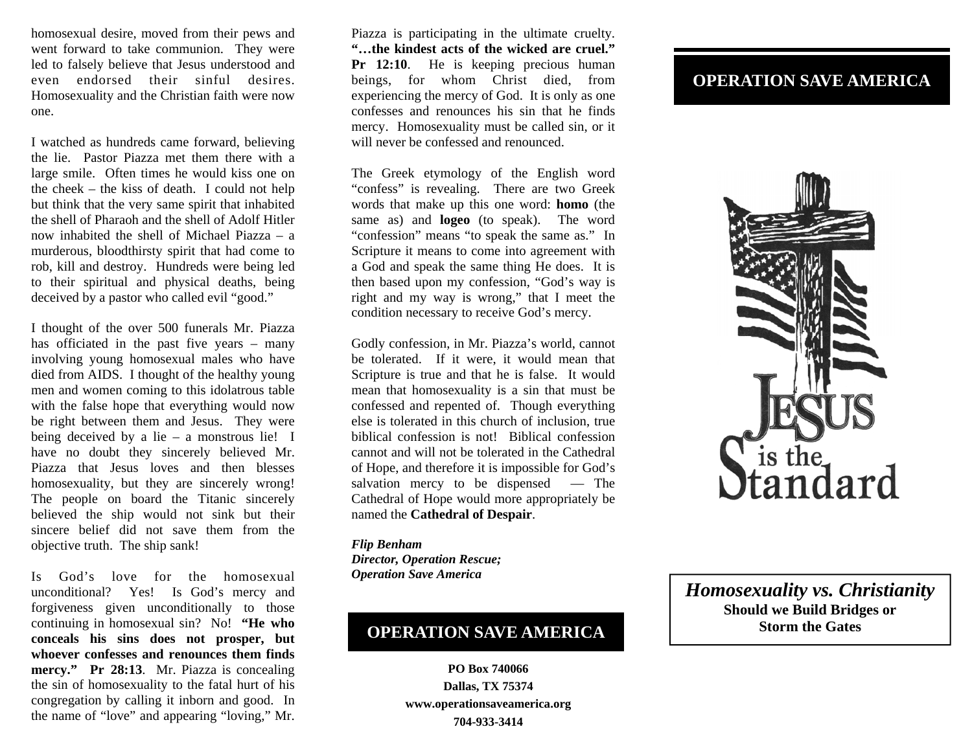homosexual desire, moved from their pews and went forward to take communion. They were led to falsely believe that Jesus understood and even endorsed their sinful desires. Homosexuality and the Christian faith were now one.

I watched as hundreds came forward, believing the lie. Pastor Piazza met them there with a large smile. Often times he would kiss one on the cheek – the kiss of death. I could not help but think that the very same spirit that inhabited the shell of Pharaoh and the shell of Adolf Hitler now inhabited the shell of Michael Piazza – a murderous, bloodthirsty spirit that had come to rob, kill and destroy. Hundreds were being led to their spiritual and physical deaths, being deceived by a pastor who called evil "good."

I thought of the over 500 funerals Mr. Piazza has officiated in the past five years – many involving young homosexual males who have died from AIDS. I thought of the healthy young men and women coming to this idolatrous table with the false hope that everything would now be right between them and Jesus. They were being deceived by a lie – a monstrous lie! I have no doubt they sincerely believed Mr. Piazza that Jesus loves and then blesses homosexuality, but they are sincerely wrong! The people on board the Titanic sincerely believed the ship would not sink but their sincere belief did not save them from the objective truth. The ship sank!

Is God's love for the homosexual unconditional? Yes! Is God's mercy and forgiveness given unconditionally to those continuing in homosexual sin? No! **"He who conceals his sins does not prosper, but whoever confesses and renounces them finds mercy." Pr 28:13**. Mr. Piazza is concealing the sin of homosexuality to the fatal hurt of his congregation by calling it inborn and good. In the name of "love" and appearing "loving," Mr.

Piazza is participating in the ultimate cruelty. **"…the kindest acts of the wicked are cruel."**  Pr 12:10. He is keeping precious human beings, for whom Christ died, from experiencing the mercy of God. It is only as one confesses and renounces his sin that he finds mercy. Homosexuality must be called sin, or it will never be confessed and renounced.

The Greek etymology of the English word "confess" is revealing. There are two Greek words that make up this one word: **homo** (the same as) and **logeo** (to speak). The word "confession" means "to speak the same as." In Scripture it means to come into agreement with a God and speak the same thing He does. It is then based upon my confession, "God's way is right and my way is wrong," that I meet the condition necessary to receive God's mercy.

Godly confession, in Mr. Piazza's world, cannot be tolerated. If it were, it would mean that Scripture is true and that he is false. It would mean that homosexuality is a sin that must be confessed and repented of. Though everything else is tolerated in this church of inclusion, true biblical confession is not! Biblical confession cannot and will not be tolerated in the Cathedral of Hope, and therefore it is impossible for God's salvation mercy to be dispensed — The Cathedral of Hope would more appropriately be named the **Cathedral of Despair**.

*Flip Benham Director, Operation Rescue; Operation Save America* 

## **OPERATION SAVE AMERICA**

**PO Box 740066 Dallas, TX 75374 www.operationsaveamerica.org 704-933-3414** 

## **OPERATION SAVE AMERICA**



*Homosexuality vs. Christianity*  **Should we Build Bridges or Storm the Gates**